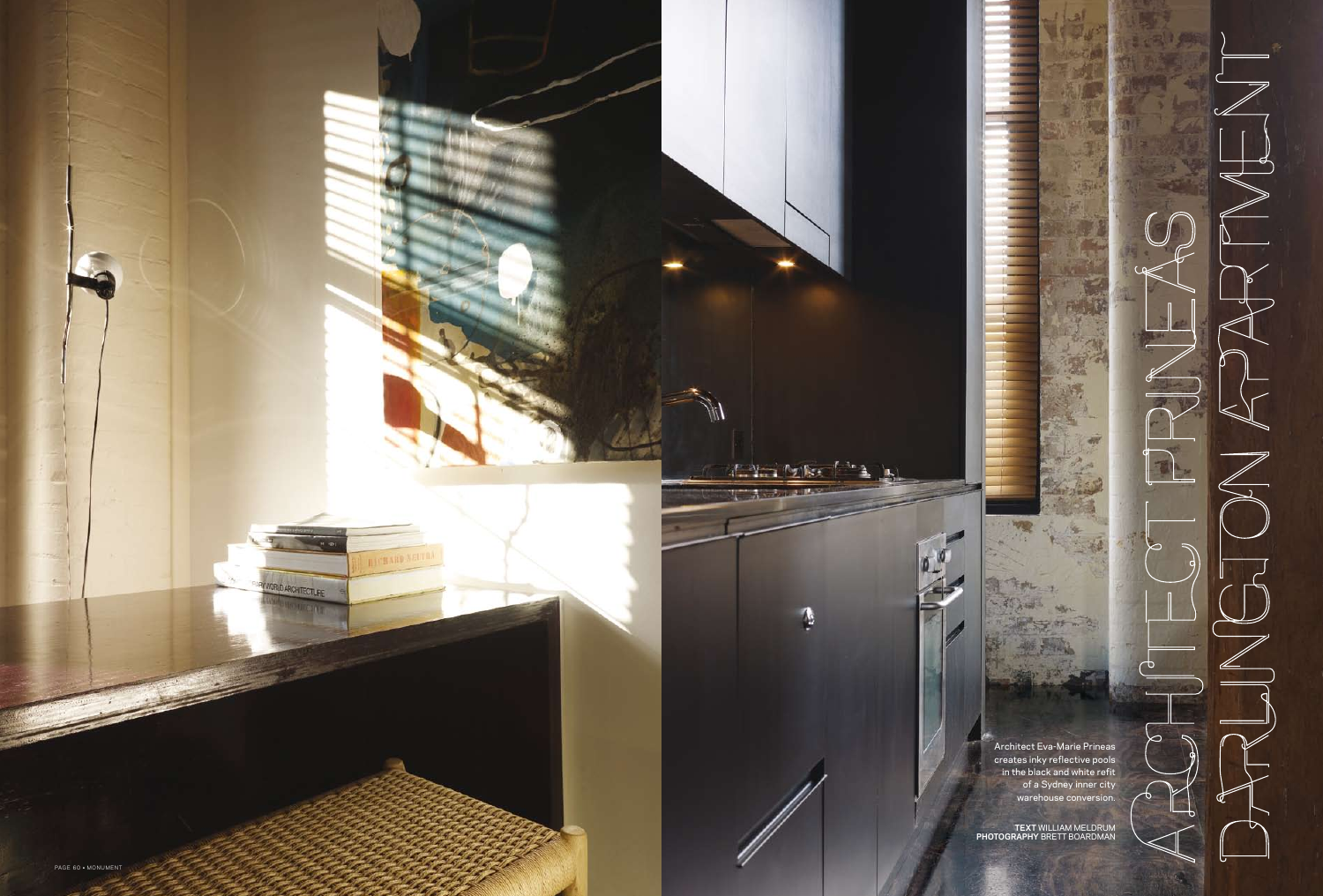

**TEXT** WILLIAM MELDRUM **PHOTOGRAPHY** Brett Boardma n

Architect Eva-Marie Prineas creates inky reflective pools in the black and white refit of a Sydney inner city warehouse conversion.

海

**None** 

 $25 - 2$ 

ℸ

 $\infty$ 

Father 19

新入場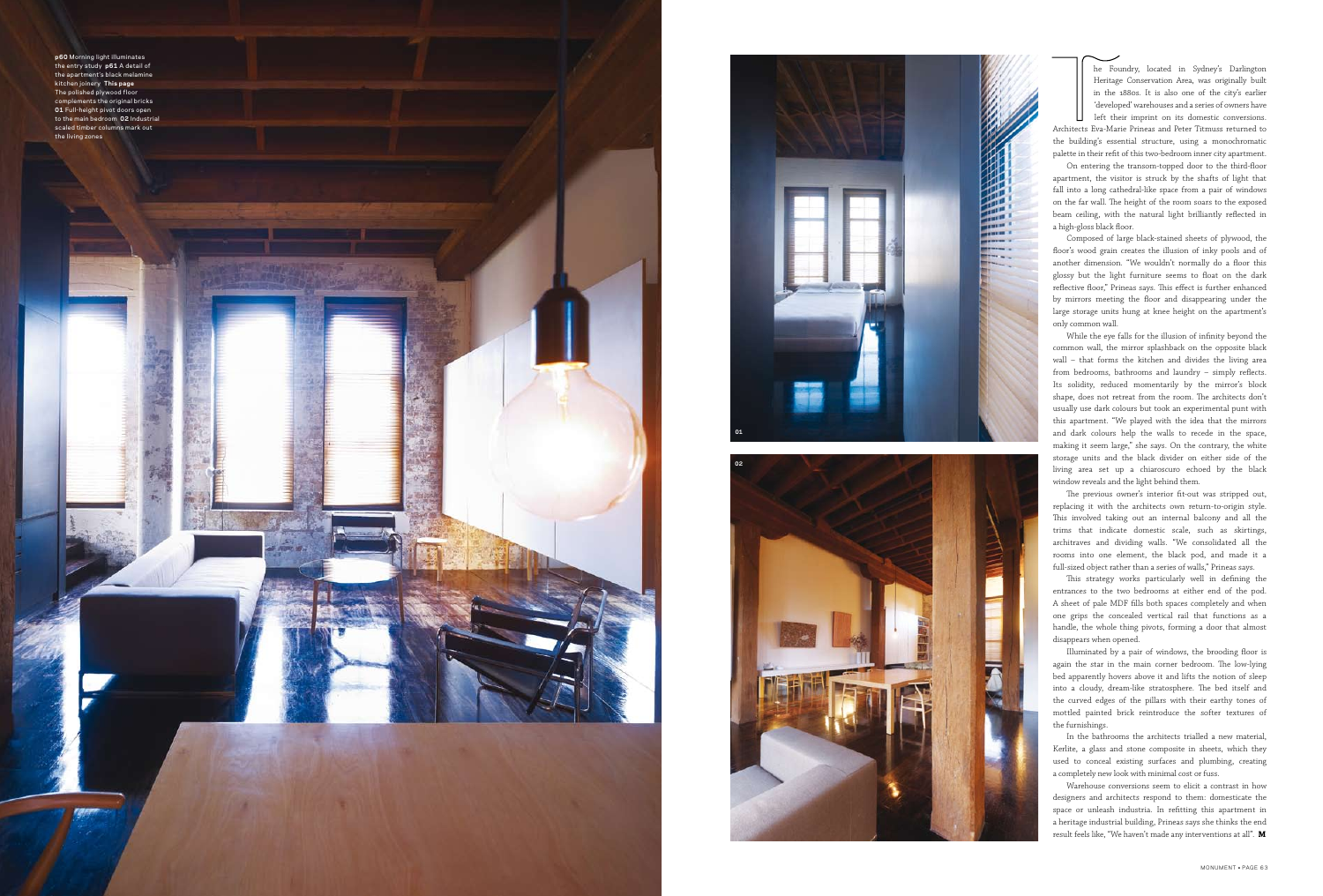**p60** Morning light illuminates the entry study **p61** A detail of the apartment's black melami kitchen joinery **This page** The polished plywood flo complements the original bricks **01** Full-height pivot doors open to the main bedroom **02** Industrial scaled timber columns mark out the living zones

he Foundry, located in Sydney's Darlington Heritage Conservation Area, was originally built in the 1880s. It is also one of the city's earlier 'developed' warehouses and a series of owners have left their imprint on its domestic conversions.

Architects Eva-Marie Prineas and Peter Titmuss returned to the building's essential structure, using a monochromatic palette in their refit of this two-bedroom inner city apartment.

On entering the transom-topped door to the third-floor apartment, the visitor is struck by the shafts of light that fall into a long cathedral-like space from a pair of windows on the far wall. The height of the room soars to the exposed beam ceiling, with the natural light brilliantly reflected in a high-gloss black floor.

Composed of large black-stained sheets of plywood, the floor's wood grain creates the illusion of inky pools and of another dimension. "We wouldn't normally do a floor this glossy but the light furniture seems to float on the dark reflective floor," Prineas says. This effect is further enhanced by mirrors meeting the floor and disappearing under the large storage units hung at knee height on the apartment's only common wall.

While the eye falls for the illusion of infinity beyond the common wall, the mirror splashback on the opposite black wall – that forms the kitchen and divides the living area from bedrooms, bathrooms and laundry – simply reflects. Its solidity, reduced momentarily by the mirror's block shape, does not retreat from the room. The architects don't usually use dark colours but took an experimental punt with this apartment. "We played with the idea that the mirrors and dark colours help the walls to recede in the space, making it seem large," she says. On the contrary, the white storage units and the black divider on either side of the living area set up a chiaroscuro echoed by the black window reveals and the light behind them.

The previous owner's interior fit-out was stripped out, replacing it with the architects own return-to-origin style. This involved taking out an internal balcony and all the trims that indicate domestic scale, such as skirtings, architraves and dividing walls. "We consolidated all the rooms into one element, the black pod, and made it a full-sized object rather than a series of walls," Prineas says.

This strategy works particularly well in defining the entrances to the two bedrooms at either end of the pod. A sheet of pale MDF fills both spaces completely and when one grips the concealed vertical rail that functions as a handle, the whole thing pivots, forming a door that almost disappears when opened.

Illuminated by a pair of windows, the brooding floor is again the star in the main corner bedroom. The low-lying bed apparently hovers above it and lifts the notion of sleep into a cloudy, dream-like stratosphere. The bed itself and the curved edges of the pillars with their earthy tones of mottled painted brick reintroduce the softer textures of the furnishings.

In the bathrooms the architects trialled a new material, Kerlite, a glass and stone composite in sheets, which they used to conceal existing surfaces and plumbing, creating a completely new look with minimal cost or fuss.

Warehouse conversions seem to elicit a contrast in how designers and architects respond to them: domesticate the space or unleash industria. In refitting this apartment in a heritage industrial building, Prineas says she thinks the end result feels like, "We haven't made any interventions at all". **M**